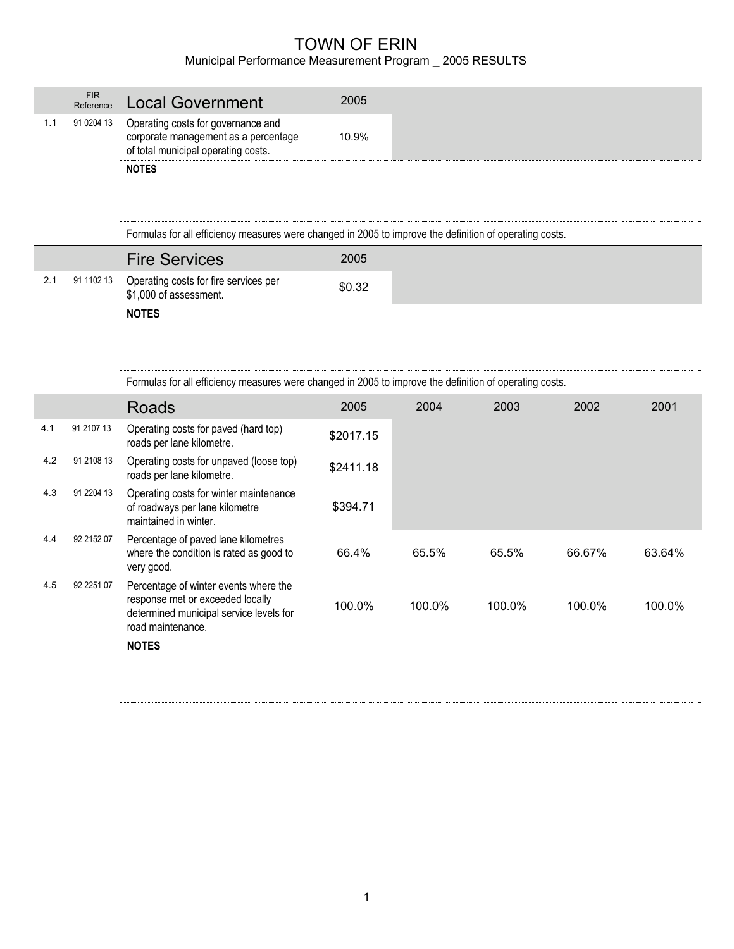## TOWN OF ERIN

## Municipal Performance Measurement Program \_ 2005 RESULTS

|     | <b>FIR</b> | Reference Local Government                                                                                                   | 2005   |  |
|-----|------------|------------------------------------------------------------------------------------------------------------------------------|--------|--|
| 1.1 |            | 91 0204 13 Operating costs for governance and<br>corporate management as a percentage<br>of total municipal operating costs. | 10.9%  |  |
|     |            | <b>NOTES</b>                                                                                                                 |        |  |
|     |            |                                                                                                                              |        |  |
|     |            |                                                                                                                              |        |  |
|     |            | Formulas for all efficiency measures were changed in 2005 to improve the definition of operating costs.                      |        |  |
|     |            | <b>Fire Services</b>                                                                                                         | 2005   |  |
| 2.1 |            | 91 1102 13 Operating costs for fire services per<br>\$1,000 of assessment.                                                   | \$0.32 |  |

|     |            | Formulas for all efficiency measures were changed in 2005 to improve the definition of operating costs.                                   |           |        |        |        |        |
|-----|------------|-------------------------------------------------------------------------------------------------------------------------------------------|-----------|--------|--------|--------|--------|
|     |            | <b>Roads</b>                                                                                                                              | 2005      | 2004   | 2003   | 2002   | 2001   |
| 4.1 | 91 2107 13 | Operating costs for paved (hard top)<br>roads per lane kilometre.                                                                         | \$2017.15 |        |        |        |        |
| 4.2 | 91 2108 13 | Operating costs for unpaved (loose top)<br>roads per lane kilometre.                                                                      | \$2411.18 |        |        |        |        |
| 4.3 | 91 2204 13 | Operating costs for winter maintenance<br>of roadways per lane kilometre<br>maintained in winter.                                         | \$394.71  |        |        |        |        |
| 4.4 | 92 2152 07 | Percentage of paved lane kilometres<br>where the condition is rated as good to<br>very good.                                              | 66.4%     | 65.5%  | 65.5%  | 66.67% | 63.64% |
| 4.5 | 92 2251 07 | Percentage of winter events where the<br>response met or exceeded locally<br>determined municipal service levels for<br>road maintenance. | 100.0%    | 100.0% | 100.0% | 100.0% | 100.0% |
|     |            | <b>NOTES</b>                                                                                                                              |           |        |        |        |        |